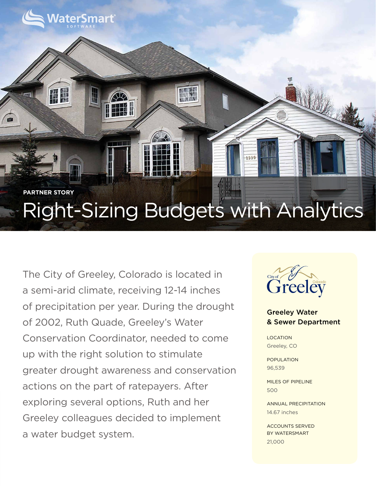# Right-Sizing Budgets with Analytics **PARTNER STORY**

 $1335$ 

The City of Greeley, Colorado is located in a semi-arid climate, receiving 12-14 inches of precipitation per year. During the drought of 2002, Ruth Quade, Greeley's Water Conservation Coordinator, needed to come up with the right solution to stimulate greater drought awareness and conservation actions on the part of ratepayers. After exploring several options, Ruth and her Greeley colleagues decided to implement a water budget system.

**/aterSmart** 

共等



### Greeley Water & Sewer Department

**LOCATION** Greeley, CO

POPULATION 96,539

MILES OF PIPELINE 500

ANNUAL PRECIPITATION 14.67 inches

ACCOUNTS SERVED BY WATERSMART 21,000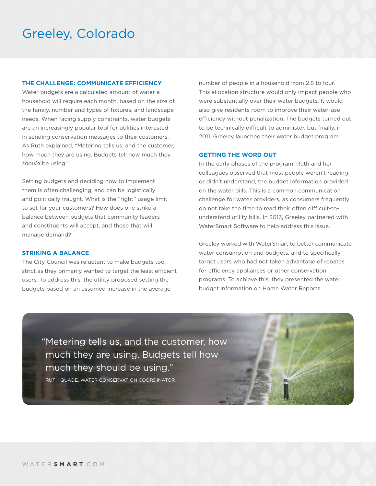## Greeley, Colorado

#### **THE CHALLENGE: COMMUNICATE EFFICIENCY**

Water budgets are a calculated amount of water a household will require each month, based on the size of the family, number and types of fixtures, and landscape needs. When facing supply constraints, water budgets are an increasingly popular tool for utilities interested in sending conservation messages to their customers. As Ruth explained, "Metering tells us, and the customer, how much they are using. Budgets tell how much they *should* be using."

Setting budgets and deciding how to implement them is often challenging, and can be logistically and politically fraught. What is the "right" usage limit to set for your customers? How does one strike a balance between budgets that community leaders and constituents will accept, and those that will manage demand?

#### **STRIKING A BALANCE**

The City Council was reluctant to make budgets too strict as they primarily wanted to target the least efficient users. To address this, the utility proposed setting the budgets based on an assumed increase in the average

number of people in a household from 2.8 to four. This allocation structure would only impact people who were substantially over their water budgets. It would also give residents room to improve their water-use efficiency without penalization. The budgets turned out to be technically difficult to administer, but finally, in 2011, Greeley launched their water budget program.

#### **GETTING THE WORD OUT**

In the early phases of the program, Ruth and her colleagues observed that most people weren't reading, or didn't understand, the budget information provided on the water bills. This is a common communication challenge for water providers, as consumers frequently do not take the time to read their often difficult-tounderstand utility bills. In 2013, Greeley partnered with WaterSmart Software to help address this issue.

Greeley worked with WaterSmart to better communicate water consumption and budgets, and to specifically target users who had not taken advantage of rebates for efficiency appliances or other conservation programs. To achieve this, they presented the water budget information on Home Water Reports.

"Metering tells us, and the customer, how much they are using. Budgets tell how much they should be using."

RUTH QUADE, WATER CONSERVATION COORDINATOR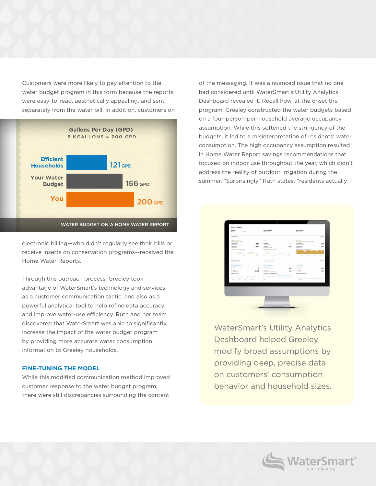Customers were more likely to pay attention to the water budget program in this form because the reports water budget program in this form because the repo<br>were easy-to-read, aesthetically appealing, and sent separately from the water bill. In addition, customers on



electronic billing—who didn't regularly see their bills or receive inserts on conservation programs—received the Home Water Reports.

Through this outreach process, Greeley took advantage of WaterSmart's technology and services as a customer communication tactic, and also as a **current of the communication** tactic, and also as a powerful analytical tool to help refine data accuracy and improve water-use efficiency. Ruth and her team discovered that WaterSmart was able to significantly increase the impact of the water budget program by providing more accurate water consumption information to Greeley households. a low-flow

#### **FINE-TUNING THE MODEL**

While this modified communication method improved<br>Sustamer response to the water budget program customer response to the water budget program, there were still discrepancies surrounding the content **\$107** DOLLARS **\$81** DOLLARS of the messaging. It was a nuanced issue that no one had considered until WaterSmart's Utility Analytics Dashboard revealed it. Recall how, at the onset the program, Greeley constructed the water budgets based on a four-person-per-household average occupancy assumption. While this softened the stringency of the assamption. While this screened the stringency of the<br>budgets, it led to a misinterpretation of residents' water consumption. The high occupancy assumption resulted in Home Water Report savings recommendations that focused on indoor use throughout the year, which didn't 1. Place a dye tablet in the toilet tank. Don't flush. rocused on masor use emodynisat the year, which could summer. "Surprisingly" Ruth states, "residents actually  $33$  che reality of outdoor impacton during the



Dashboard helped Greeley  $f_{\text{V}}$  hro modify broad assumptions by providing deep, precise data on customers consumption<br>behavior and household sizes. WaterSmart's Utility Analytics www.greeneygov.com/wateringtheon customers' consumption